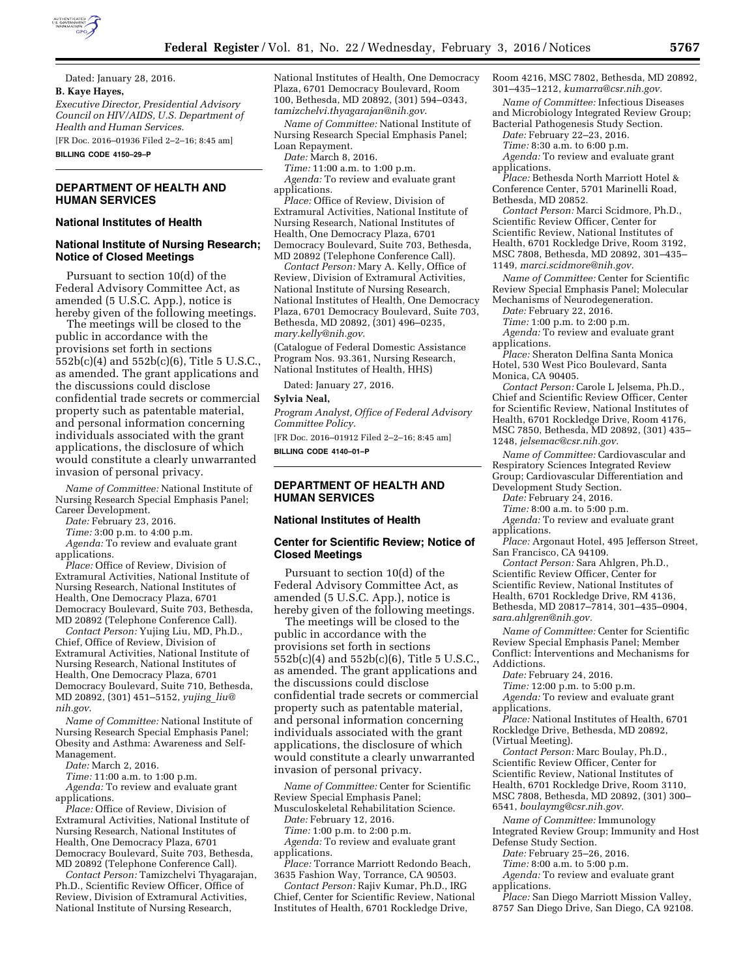

Dated: January 28, 2016. **B. Kaye Hayes,**  *Executive Director, Presidential Advisory* 

*Council on HIV/AIDS, U.S. Department of Health and Human Services.*  [FR Doc. 2016–01936 Filed 2–2–16; 8:45 am]

**BILLING CODE 4150–29–P** 

# **DEPARTMENT OF HEALTH AND HUMAN SERVICES**

#### **National Institutes of Health**

## **National Institute of Nursing Research; Notice of Closed Meetings**

Pursuant to section 10(d) of the Federal Advisory Committee Act, as amended (5 U.S.C. App.), notice is hereby given of the following meetings.

The meetings will be closed to the public in accordance with the provisions set forth in sections 552b(c)(4) and 552b(c)(6), Title 5 U.S.C., as amended. The grant applications and the discussions could disclose confidential trade secrets or commercial property such as patentable material, and personal information concerning individuals associated with the grant applications, the disclosure of which would constitute a clearly unwarranted invasion of personal privacy.

*Name of Committee:* National Institute of Nursing Research Special Emphasis Panel; Career Development.

*Date:* February 23, 2016.

*Time:* 3:00 p.m. to 4:00 p.m.

*Agenda:* To review and evaluate grant applications.

*Place:* Office of Review, Division of Extramural Activities, National Institute of Nursing Research, National Institutes of Health, One Democracy Plaza, 6701 Democracy Boulevard, Suite 703, Bethesda, MD 20892 (Telephone Conference Call).

*Contact Person:* Yujing Liu, MD, Ph.D., Chief, Office of Review, Division of Extramural Activities, National Institute of Nursing Research, National Institutes of Health, One Democracy Plaza, 6701 Democracy Boulevard, Suite 710, Bethesda, MD 20892, (301) 451–5152, *[yujing](mailto:yujing_liu@nih.gov)*\_*liu@ [nih.gov](mailto:yujing_liu@nih.gov)*.

*Name of Committee:* National Institute of Nursing Research Special Emphasis Panel; Obesity and Asthma: Awareness and Self-Management.

*Date:* March 2, 2016.

*Time:* 11:00 a.m. to 1:00 p.m.

*Agenda:* To review and evaluate grant applications.

*Place:* Office of Review, Division of Extramural Activities, National Institute of Nursing Research, National Institutes of Health, One Democracy Plaza, 6701 Democracy Boulevard, Suite 703, Bethesda, MD 20892 (Telephone Conference Call).

*Contact Person:* Tamizchelvi Thyagarajan, Ph.D., Scientific Review Officer, Office of Review, Division of Extramural Activities, National Institute of Nursing Research,

National Institutes of Health, One Democracy Plaza, 6701 Democracy Boulevard, Room 100, Bethesda, MD 20892, (301) 594–0343, *[tamizchelvi.thyagarajan@nih.gov](mailto:tamizchelvi.thyagarajan@nih.gov)*.

*Name of Committee:* National Institute of Nursing Research Special Emphasis Panel; Loan Repayment.

*Date:* March 8, 2016.

*Time:* 11:00 a.m. to 1:00 p.m. *Agenda:* To review and evaluate grant applications.

*Place:* Office of Review, Division of Extramural Activities, National Institute of Nursing Research, National Institutes of Health, One Democracy Plaza, 6701 Democracy Boulevard, Suite 703, Bethesda, MD 20892 (Telephone Conference Call).

*Contact Person:* Mary A. Kelly, Office of Review, Division of Extramural Activities, National Institute of Nursing Research, National Institutes of Health, One Democracy Plaza, 6701 Democracy Boulevard, Suite 703, Bethesda, MD 20892, (301) 496–0235, *[mary.kelly@nih.gov](mailto:mary.kelly@nih.gov)*.

(Catalogue of Federal Domestic Assistance Program Nos. 93.361, Nursing Research, National Institutes of Health, HHS)

Dated: January 27, 2016.

#### **Sylvia Neal,**

*Program Analyst, Office of Federal Advisory Committee Policy.* 

[FR Doc. 2016–01912 Filed 2–2–16; 8:45 am]

**BILLING CODE 4140–01–P** 

### **DEPARTMENT OF HEALTH AND HUMAN SERVICES**

#### **National Institutes of Health**

### **Center for Scientific Review; Notice of Closed Meetings**

Pursuant to section 10(d) of the Federal Advisory Committee Act, as amended (5 U.S.C. App.), notice is hereby given of the following meetings.

The meetings will be closed to the public in accordance with the provisions set forth in sections 552b(c)(4) and 552b(c)(6), Title 5 U.S.C., as amended. The grant applications and the discussions could disclose confidential trade secrets or commercial property such as patentable material, and personal information concerning individuals associated with the grant applications, the disclosure of which would constitute a clearly unwarranted invasion of personal privacy.

*Name of Committee:* Center for Scientific Review Special Emphasis Panel; Musculoskeletal Rehabilitation Science.

*Date:* February 12, 2016.

*Time:* 1:00 p.m. to 2:00 p.m.

*Agenda:* To review and evaluate grant applications.

*Place:* Torrance Marriott Redondo Beach, 3635 Fashion Way, Torrance, CA 90503.

*Contact Person:* Rajiv Kumar, Ph.D., IRG Chief, Center for Scientific Review, National Institutes of Health, 6701 Rockledge Drive,

Room 4216, MSC 7802, Bethesda, MD 20892, 301–435–1212, *[kumarra@csr.nih.gov.](mailto:kumarra@csr.nih.gov)* 

*Name of Committee:* Infectious Diseases and Microbiology Integrated Review Group;

Bacterial Pathogenesis Study Section. *Date:* February 22–23, 2016.

*Time:* 8:30 a.m. to 6:00 p.m.

*Agenda:* To review and evaluate grant applications.

*Place:* Bethesda North Marriott Hotel & Conference Center, 5701 Marinelli Road, Bethesda, MD 20852.

*Contact Person:* Marci Scidmore, Ph.D., Scientific Review Officer, Center for Scientific Review, National Institutes of Health, 6701 Rockledge Drive, Room 3192, MSC 7808, Bethesda, MD 20892, 301–435– 1149, *[marci.scidmore@nih.gov.](mailto:marci.scidmore@nih.gov)* 

*Name of Committee:* Center for Scientific Review Special Emphasis Panel; Molecular Mechanisms of Neurodegeneration.

*Date:* February 22, 2016.

*Time:* 1:00 p.m. to 2:00 p.m.

*Agenda:* To review and evaluate grant applications.

*Place:* Sheraton Delfina Santa Monica Hotel, 530 West Pico Boulevard, Santa Monica, CA 90405.

*Contact Person:* Carole L Jelsema, Ph.D., Chief and Scientific Review Officer, Center for Scientific Review, National Institutes of Health, 6701 Rockledge Drive, Room 4176, MSC 7850, Bethesda, MD 20892, (301) 435– 1248, *[jelsemac@csr.nih.gov.](mailto:jelsemac@csr.nih.gov)* 

*Name of Committee:* Cardiovascular and Respiratory Sciences Integrated Review Group; Cardiovascular Differentiation and Development Study Section.

*Date:* February 24, 2016.

*Time:* 8:00 a.m. to 5:00 p.m.

*Agenda:* To review and evaluate grant applications.

*Place:* Argonaut Hotel, 495 Jefferson Street, San Francisco, CA 94109.

*Contact Person:* Sara Ahlgren, Ph.D., Scientific Review Officer, Center for Scientific Review, National Institutes of Health, 6701 Rockledge Drive, RM 4136, Bethesda, MD 20817–7814, 301–435–0904, *[sara.ahlgren@nih.gov.](mailto:sara.ahlgren@nih.gov)* 

*Name of Committee:* Center for Scientific Review Special Emphasis Panel; Member Conflict: Interventions and Mechanisms for Addictions.

*Date:* February 24, 2016.

*Time:* 12:00 p.m. to 5:00 p.m.

*Agenda:* To review and evaluate grant applications.

*Place:* National Institutes of Health, 6701 Rockledge Drive, Bethesda, MD 20892, (Virtual Meeting).

*Contact Person:* Marc Boulay, Ph.D., Scientific Review Officer, Center for Scientific Review, National Institutes of Health, 6701 Rockledge Drive, Room 3110, MSC 7808, Bethesda, MD 20892, (301) 300– 6541, *[boulaymg@csr.nih.gov.](mailto:boulaymg@csr.nih.gov)* 

*Name of Committee:* Immunology Integrated Review Group; Immunity and Host Defense Study Section.

*Date:* February 25–26, 2016.

*Time:* 8:00 a.m. to 5:00 p.m.

*Agenda:* To review and evaluate grant applications.

*Place:* San Diego Marriott Mission Valley, 8757 San Diego Drive, San Diego, CA 92108.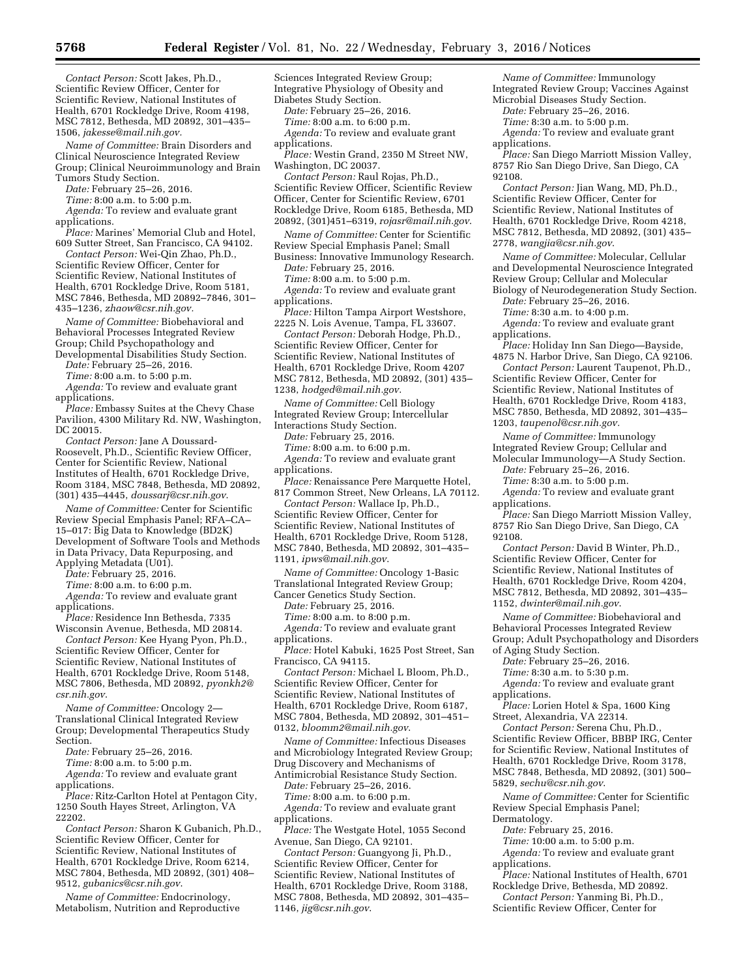*Contact Person:* Scott Jakes, Ph.D., Scientific Review Officer, Center for Scientific Review, National Institutes of Health, 6701 Rockledge Drive, Room 4198, MSC 7812, Bethesda, MD 20892, 301–435– 1506, *[jakesse@mail.nih.gov.](mailto:jakesse@mail.nih.gov)* 

*Name of Committee:* Brain Disorders and Clinical Neuroscience Integrated Review Group; Clinical Neuroimmunology and Brain Tumors Study Section.

*Date:* February 25–26, 2016.

*Time:* 8:00 a.m. to 5:00 p.m.

*Agenda:* To review and evaluate grant applications.

*Place:* Marines' Memorial Club and Hotel, 609 Sutter Street, San Francisco, CA 94102.

*Contact Person:* Wei-Qin Zhao, Ph.D., Scientific Review Officer, Center for Scientific Review, National Institutes of Health, 6701 Rockledge Drive, Room 5181, MSC 7846, Bethesda, MD 20892–7846, 301– 435–1236, *[zhaow@csr.nih.gov.](mailto:zhaow@csr.nih.gov)* 

*Name of Committee:* Biobehavioral and Behavioral Processes Integrated Review Group; Child Psychopathology and Developmental Disabilities Study Section.

*Date:* February 25–26, 2016. *Time:* 8:00 a.m. to 5:00 p.m.

*Agenda:* To review and evaluate grant applications.

*Place:* Embassy Suites at the Chevy Chase Pavilion, 4300 Military Rd. NW, Washington, DC 20015.

*Contact Person:* Jane A Doussard-Roosevelt, Ph.D., Scientific Review Officer, Center for Scientific Review, National Institutes of Health, 6701 Rockledge Drive, Room 3184, MSC 7848, Bethesda, MD 20892, (301) 435–4445, *[doussarj@csr.nih.gov](mailto:doussarj@csr.nih.gov)*.

*Name of Committee:* Center for Scientific Review Special Emphasis Panel; RFA–CA– 15–017: Big Data to Knowledge (BD2K) Development of Software Tools and Methods in Data Privacy, Data Repurposing, and Applying Metadata (U01).

*Date:* February 25, 2016.

*Time:* 8:00 a.m. to 6:00 p.m.

*Agenda:* To review and evaluate grant applications.

*Place:* Residence Inn Bethesda, 7335 Wisconsin Avenue, Bethesda, MD 20814.

*Contact Person:* Kee Hyang Pyon, Ph.D., Scientific Review Officer, Center for Scientific Review, National Institutes of Health, 6701 Rockledge Drive, Room 5148, MSC 7806, Bethesda, MD 20892, *[pyonkh2@](mailto:pyonkh2@csr.nih.gov) [csr.nih.gov](mailto:pyonkh2@csr.nih.gov)*.

*Name of Committee:* Oncology 2— Translational Clinical Integrated Review Group; Developmental Therapeutics Study Section.

*Date:* February 25–26, 2016.

*Time:* 8:00 a.m. to 5:00 p.m.

*Agenda:* To review and evaluate grant applications.

*Place:* Ritz-Carlton Hotel at Pentagon City, 1250 South Hayes Street, Arlington, VA 22202.

*Contact Person:* Sharon K Gubanich, Ph.D., Scientific Review Officer, Center for Scientific Review, National Institutes of Health, 6701 Rockledge Drive, Room 6214, MSC 7804, Bethesda, MD 20892, (301) 408– 9512, *[gubanics@csr.nih.gov](mailto:gubanics@csr.nih.gov)*.

*Name of Committee:* Endocrinology, Metabolism, Nutrition and Reproductive Sciences Integrated Review Group; Integrative Physiology of Obesity and Diabetes Study Section.

*Date:* February 25–26, 2016.

*Time:* 8:00 a.m. to 6:00 p.m. *Agenda:* To review and evaluate grant

applications. *Place:* Westin Grand, 2350 M Street NW,

Washington, DC 20037.

*Contact Person:* Raul Rojas, Ph.D., Scientific Review Officer, Scientific Review Officer, Center for Scientific Review, 6701 Rockledge Drive, Room 6185, Bethesda, MD 20892, (301)451–6319, *[rojasr@mail.nih.gov](mailto:rojasr@mail.nih.gov)*.

*Name of Committee:* Center for Scientific Review Special Emphasis Panel; Small

Business: Innovative Immunology Research. *Date:* February 25, 2016.

*Time:* 8:00 a.m. to 5:00 p.m.

*Agenda:* To review and evaluate grant applications.

*Place:* Hilton Tampa Airport Westshore, 2225 N. Lois Avenue, Tampa, FL 33607.

*Contact Person:* Deborah Hodge, Ph.D., Scientific Review Officer, Center for Scientific Review, National Institutes of Health, 6701 Rockledge Drive, Room 4207 MSC 7812, Bethesda, MD 20892, (301) 435– 1238, *[hodged@mail.nih.gov](mailto:hodged@mail.nih.gov)*.

*Name of Committee:* Cell Biology Integrated Review Group; Intercellular Interactions Study Section.

*Date:* February 25, 2016.

*Time:* 8:00 a.m. to 6:00 p.m.

*Agenda:* To review and evaluate grant applications.

*Place:* Renaissance Pere Marquette Hotel, 817 Common Street, New Orleans, LA 70112.

*Contact Person:* Wallace Ip, Ph.D.,

Scientific Review Officer, Center for Scientific Review, National Institutes of

Health, 6701 Rockledge Drive, Room 5128, MSC 7840, Bethesda, MD 20892, 301–435– 1191, *[ipws@mail.nih.gov](mailto:ipws@mail.nih.gov)*.

*Name of Committee:* Oncology 1-Basic Translational Integrated Review Group; Cancer Genetics Study Section.

*Date:* February 25, 2016.

*Time:* 8:00 a.m. to 8:00 p.m.

*Agenda:* To review and evaluate grant applications.

*Place:* Hotel Kabuki, 1625 Post Street, San Francisco, CA 94115.

*Contact Person:* Michael L Bloom, Ph.D., Scientific Review Officer, Center for Scientific Review, National Institutes of Health, 6701 Rockledge Drive, Room 6187, MSC 7804, Bethesda, MD 20892, 301–451– 0132, *[bloomm2@mail.nih.gov](mailto:bloomm2@mail.nih.gov)*.

*Name of Committee:* Infectious Diseases and Microbiology Integrated Review Group; Drug Discovery and Mechanisms of Antimicrobial Resistance Study Section.

*Date:* February 25–26, 2016.

*Time:* 8:00 a.m. to 6:00 p.m. Agenda: To review and evaluate grant applications.

*Place:* The Westgate Hotel, 1055 Second Avenue, San Diego, CA 92101.

*Contact Person:* Guangyong Ji, Ph.D., Scientific Review Officer, Center for Scientific Review, National Institutes of Health, 6701 Rockledge Drive, Room 3188, MSC 7808, Bethesda, MD 20892, 301–435– 1146, *[jig@csr.nih.gov](mailto:jig@csr.nih.gov)*.

*Name of Committee:* Immunology Integrated Review Group; Vaccines Against Microbial Diseases Study Section.

*Date:* February 25–26, 2016.

*Time:* 8:30 a.m. to 5:00 p.m.

*Agenda:* To review and evaluate grant applications.

*Place:* San Diego Marriott Mission Valley, 8757 Rio San Diego Drive, San Diego, CA 92108.

*Contact Person:* Jian Wang, MD, Ph.D., Scientific Review Officer, Center for Scientific Review, National Institutes of Health, 6701 Rockledge Drive, Room 4218, MSC 7812, Bethesda, MD 20892, (301) 435– 2778, *[wangjia@csr.nih.gov](mailto:wangjia@csr.nih.gov)*.

*Name of Committee:* Molecular, Cellular and Developmental Neuroscience Integrated Review Group; Cellular and Molecular Biology of Neurodegeneration Study Section.

*Date:* February 25–26, 2016.

*Time:* 8:30 a.m. to 4:00 p.m.

*Agenda:* To review and evaluate grant applications.

*Place:* Holiday Inn San Diego—Bayside, 4875 N. Harbor Drive, San Diego, CA 92106.

*Contact Person:* Laurent Taupenot, Ph.D., Scientific Review Officer, Center for Scientific Review, National Institutes of Health, 6701 Rockledge Drive, Room 4183, MSC 7850, Bethesda, MD 20892, 301–435– 1203, *[taupenol@csr.nih.gov.](mailto:taupenol@csr.nih.gov)* 

*Name of Committee:* Immunology Integrated Review Group; Cellular and

Molecular Immunology—A Study Section. *Date:* February 25–26, 2016.

*Time:* 8:30 a.m. to 5:00 p.m.

*Agenda:* To review and evaluate grant applications.

*Place:* San Diego Marriott Mission Valley, 8757 Rio San Diego Drive, San Diego, CA 92108.

*Contact Person:* David B Winter, Ph.D., Scientific Review Officer, Center for Scientific Review, National Institutes of Health, 6701 Rockledge Drive, Room 4204, MSC 7812, Bethesda, MD 20892, 301–435– 1152, *[dwinter@mail.nih.gov](mailto:dwinter@mail.nih.gov)*.

*Name of Committee:* Biobehavioral and Behavioral Processes Integrated Review Group; Adult Psychopathology and Disorders of Aging Study Section.

*Date:* February 25–26, 2016.

*Time:* 8:30 a.m. to 5:30 p.m.

Agenda: To review and evaluate grant applications.

*Place:* Lorien Hotel & Spa, 1600 King Street, Alexandria, VA 22314.

*Contact Person:* Serena Chu, Ph.D., Scientific Review Officer, BBBP IRG, Center for Scientific Review, National Institutes of Health, 6701 Rockledge Drive, Room 3178, MSC 7848, Bethesda, MD 20892, (301) 500– 5829, *[sechu@csr.nih.gov](mailto:sechu@csr.nih.gov)*.

*Name of Committee:* Center for Scientific Review Special Emphasis Panel; Dermatology.

*Date:* February 25, 2016.

*Time:* 10:00 a.m. to 5:00 p.m.

*Agenda:* To review and evaluate grant

applications.

*Place:* National Institutes of Health, 6701 Rockledge Drive, Bethesda, MD 20892.

*Contact Person:* Yanming Bi, Ph.D., Scientific Review Officer, Center for